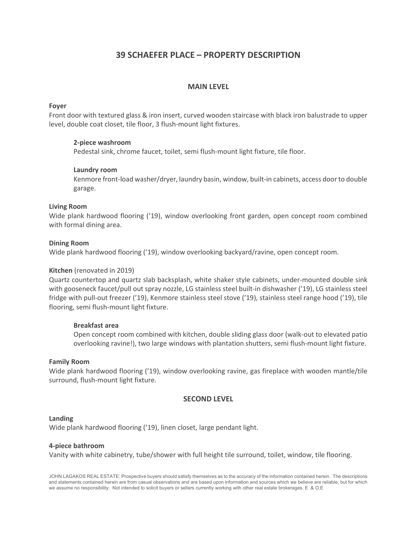# 39 SCHAEFER PLACE – PROPERTY DESCRIPTION

# MAIN LEVEL

## Foyer

Front door with textured glass & iron insert, curved wooden staircase with black iron balustrade to upper level, double coat closet, tile floor, 3 flush-mount light fixtures.

## 2-piece washroom

Pedestal sink, chrome faucet, toilet, semi flush-mount light fixture, tile floor.

## Laundry room

Kenmore front-load washer/dryer, laundry basin, window, built-in cabinets, access door to double garage.

#### Living Room

Wide plank hardwood flooring ('19), window overlooking front garden, open concept room combined with formal dining area.

## Dining Room

Wide plank hardwood flooring ('19), window overlooking backyard/ravine, open concept room.

#### Kitchen (renovated in 2019)

Quartz countertop and quartz slab backsplash, white shaker style cabinets, under-mounted double sink with gooseneck faucet/pull out spray nozzle, LG stainless steel built-in dishwasher ('19), LG stainless steel fridge with pull-out freezer ('19), Kenmore stainless steel stove ('19), stainless steel range hood ('19), tile flooring, semi flush-mount light fixture.

#### Breakfast area

Open concept room combined with kitchen, double sliding glass door (walk-out to elevated patio overlooking ravine!), two large windows with plantation shutters, semi flush-mount light fixture.

#### Family Room

Wide plank hardwood flooring ('19), window overlooking ravine, gas fireplace with wooden mantle/tile surround, flush-mount light fixture.

## SECOND LEVEL

#### Landing

Wide plank hardwood flooring ('19), linen closet, large pendant light.

#### 4-piece bathroom

Vanity with white cabinetry, tube/shower with full height tile surround, toilet, window, tile flooring.

JOHN LAGAKOS REAL ESTATE: Prospective buyers should satisfy themselves as to the accuracy of the information contained herein. The descriptions and statements contained herein are from casual observations and are based upon information and sources which we believe are reliable, but for which we assume no responsibility. Not intended to solicit buyers or sellers currently working with other real estate brokerages. E .& O.E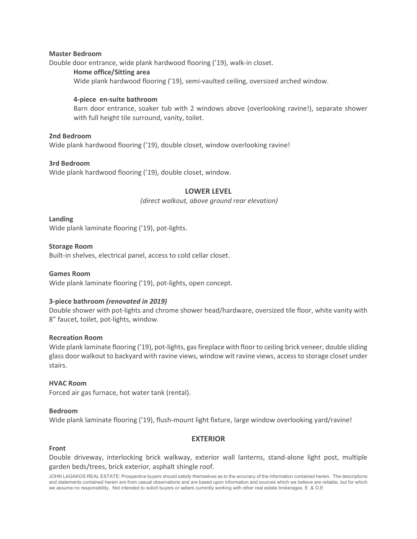#### Master Bedroom

Double door entrance, wide plank hardwood flooring ('19), walk-in closet.

## Home office/Sitting area

Wide plank hardwood flooring ('19), semi-vaulted ceiling, oversized arched window.

## 4-piece en-suite bathroom

Barn door entrance, soaker tub with 2 windows above (overlooking ravine!), separate shower with full height tile surround, vanity, toilet.

## 2nd Bedroom

Wide plank hardwood flooring ('19), double closet, window overlooking ravine!

## 3rd Bedroom

Wide plank hardwood flooring ('19), double closet, window.

# LOWER LEVEL

(direct walkout, above ground rear elevation)

Landing

Wide plank laminate flooring ('19), pot-lights.

## Storage Room

Built-in shelves, electrical panel, access to cold cellar closet.

Games Room Wide plank laminate flooring ('19), pot-lights, open concept.

## 3-piece bathroom (renovated in 2019)

Double shower with pot-lights and chrome shower head/hardware, oversized tile floor, white vanity with 8" faucet, toilet, pot-lights, window.

#### Recreation Room

Wide plank laminate flooring ('19), pot-lights, gas fireplace with floor to ceiling brick veneer, double sliding glass door walkout to backyard with ravine views, window wit ravine views, access to storage closet under stairs.

#### HVAC Room

Forced air gas furnace, hot water tank (rental).

#### Bedroom

Wide plank laminate flooring ('19), flush-mount light fixture, large window overlooking yard/ravine!

## EXTERIOR

## Front

Double driveway, interlocking brick walkway, exterior wall lanterns, stand-alone light post, multiple garden beds/trees, brick exterior, asphalt shingle roof.

JOHN LAGAKOS REAL ESTATE: Prospective buyers should satisfy themselves as to the accuracy of the information contained herein. The descriptions and statements contained herein are from casual observations and are based upon information and sources which we believe are reliable, but for which we assume no responsibility. Not intended to solicit buyers or sellers currently working with other real estate brokerages. E .& O.E